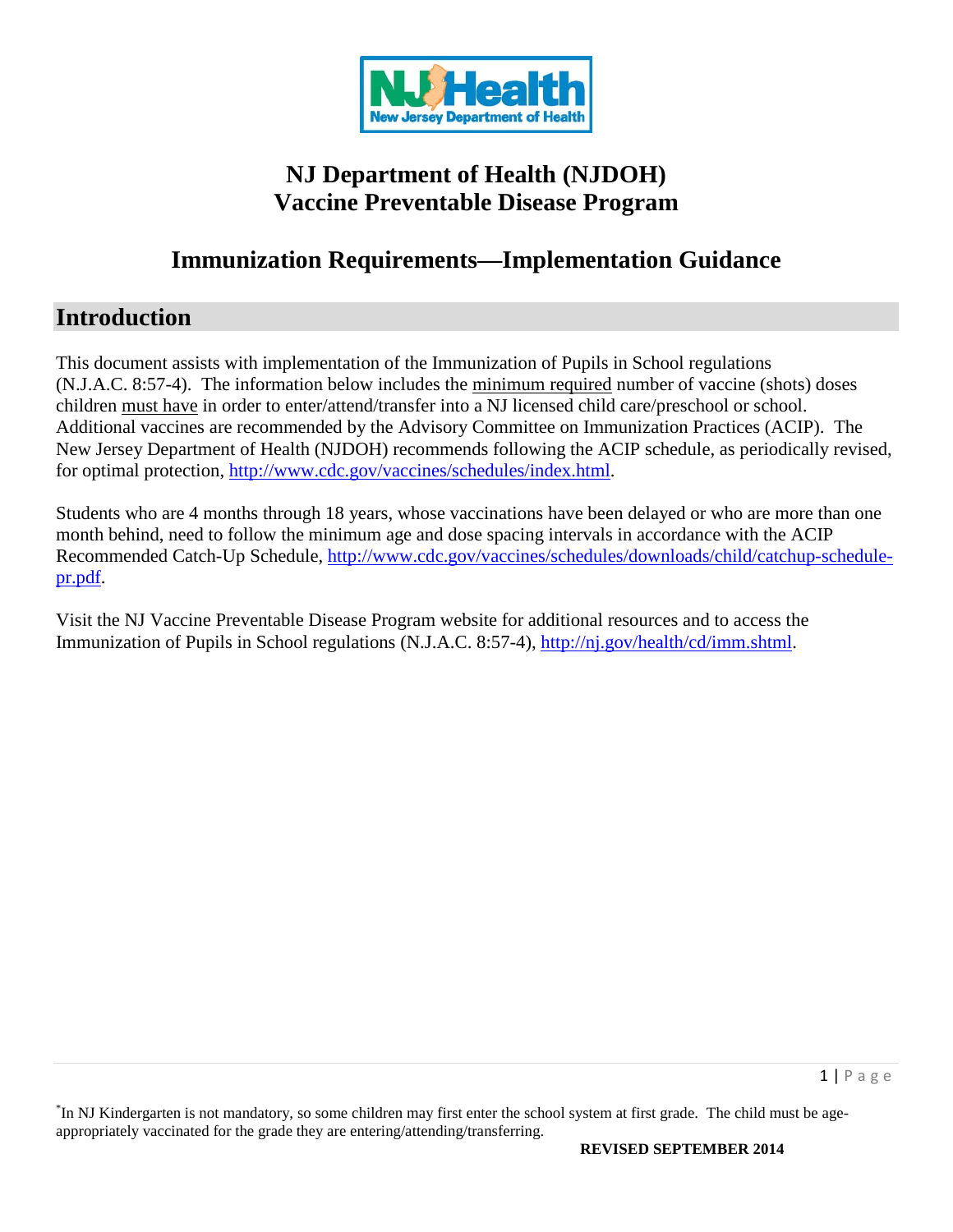

# **NJ Department of Health (NJDOH) Vaccine Preventable Disease Program**

# **Immunization Requirements—Implementation Guidance**

# **Introduction**

This document assists with implementation of the Immunization of Pupils in School regulations (N.J.A.C. 8:57-4). The information below includes the minimum required number of vaccine (shots) doses children must have in order to enter/attend/transfer into a NJ licensed child care/preschool or school. Additional vaccines are recommended by the Advisory Committee on Immunization Practices (ACIP). The New Jersey Department of Health (NJDOH) recommends following the ACIP schedule, as periodically revised, for optimal protection, [http://www.cdc.gov/vaccines/schedules/index.html.](http://www.cdc.gov/vaccines/schedules/index.html)

Students who are 4 months through 18 years, whose vaccinations have been delayed or who are more than one month behind, need to follow the minimum age and dose spacing intervals in accordance with the ACIP Recommended Catch-Up Schedule, [http://www.cdc.gov/vaccines/schedules/downloads/child/catchup-schedule](http://www.cdc.gov/vaccines/schedules/downloads/child/catchup-schedule-pr.pdf)[pr.pdf.](http://www.cdc.gov/vaccines/schedules/downloads/child/catchup-schedule-pr.pdf)

Visit the NJ Vaccine Preventable Disease Program website for additional resources and to access the Immunization of Pupils in School regulations (N.J.A.C. 8:57-4), [http://nj.gov/health/cd/imm.shtml.](http://nj.gov/health/cd/imm.shtml)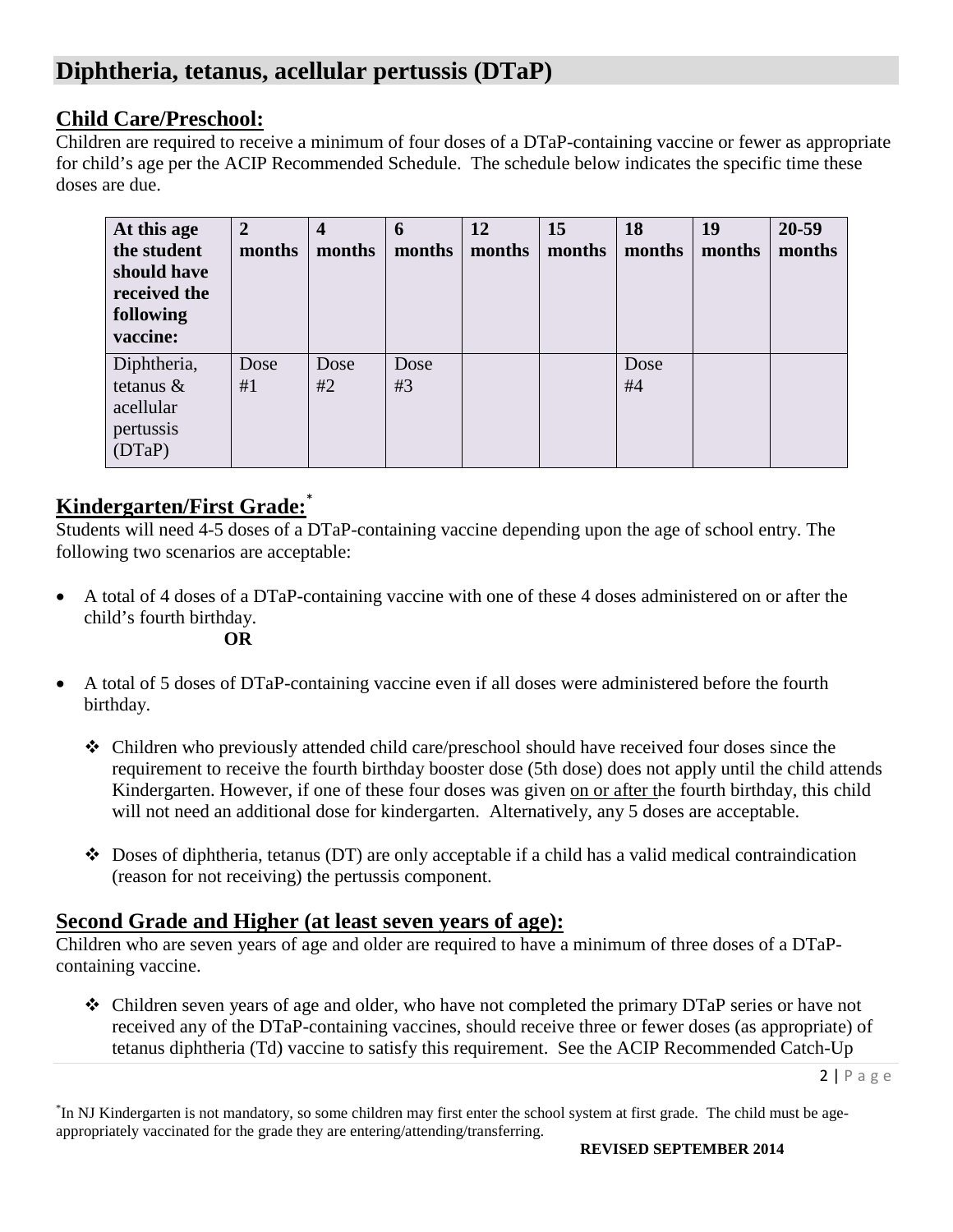# **Diphtheria, tetanus, acellular pertussis (DTaP)**

## **Child Care/Preschool:**

Children are required to receive a minimum of four doses of a DTaP-containing vaccine or fewer as appropriate for child's age per the ACIP Recommended Schedule. The schedule below indicates the specific time these doses are due.

| At this age<br>the student<br>should have<br>received the<br>following<br>vaccine: | $\overline{2}$<br>months | 4<br>months | 6<br>months | 12<br>months | 15<br>months | 18<br>months | 19<br>months | 20-59<br>months |
|------------------------------------------------------------------------------------|--------------------------|-------------|-------------|--------------|--------------|--------------|--------------|-----------------|
| Diphtheria,<br>tetanus $\&$<br>acellular<br>pertussis<br>(DTaP)                    | Dose<br>#1               | Dose<br>#2  | Dose<br>#3  |              |              | Dose<br>#4   |              |                 |

# **Kindergarten/First Grade:** \*

Students will need 4-5 doses of a DTaP-containing vaccine depending upon the age of school entry. The following two scenarios are acceptable:

- A total of 4 doses of a DTaP-containing vaccine with one of these 4 doses administered on or after the child's fourth birthday.
	- **OR**
- A total of 5 doses of DTaP-containing vaccine even if all doses were administered before the fourth birthday.
	- Children who previously attended child care/preschool should have received four doses since the requirement to receive the fourth birthday booster dose (5th dose) does not apply until the child attends Kindergarten. However, if one of these four doses was given on or after the fourth birthday, this child will not need an additional dose for kindergarten. Alternatively, any 5 doses are acceptable.
	- Doses of diphtheria, tetanus (DT) are only acceptable if a child has a valid medical contraindication (reason for not receiving) the pertussis component.

## **Second Grade and Higher (at least seven years of age):**

Children who are seven years of age and older are required to have a minimum of three doses of a DTaPcontaining vaccine.

 $\triangle$  Children seven years of age and older, who have not completed the primary DTaP series or have not received any of the DTaP-containing vaccines, should receive three or fewer doses (as appropriate) of tetanus diphtheria (Td) vaccine to satisfy this requirement. See the ACIP Recommended Catch-Up

 $2 | P \text{age}$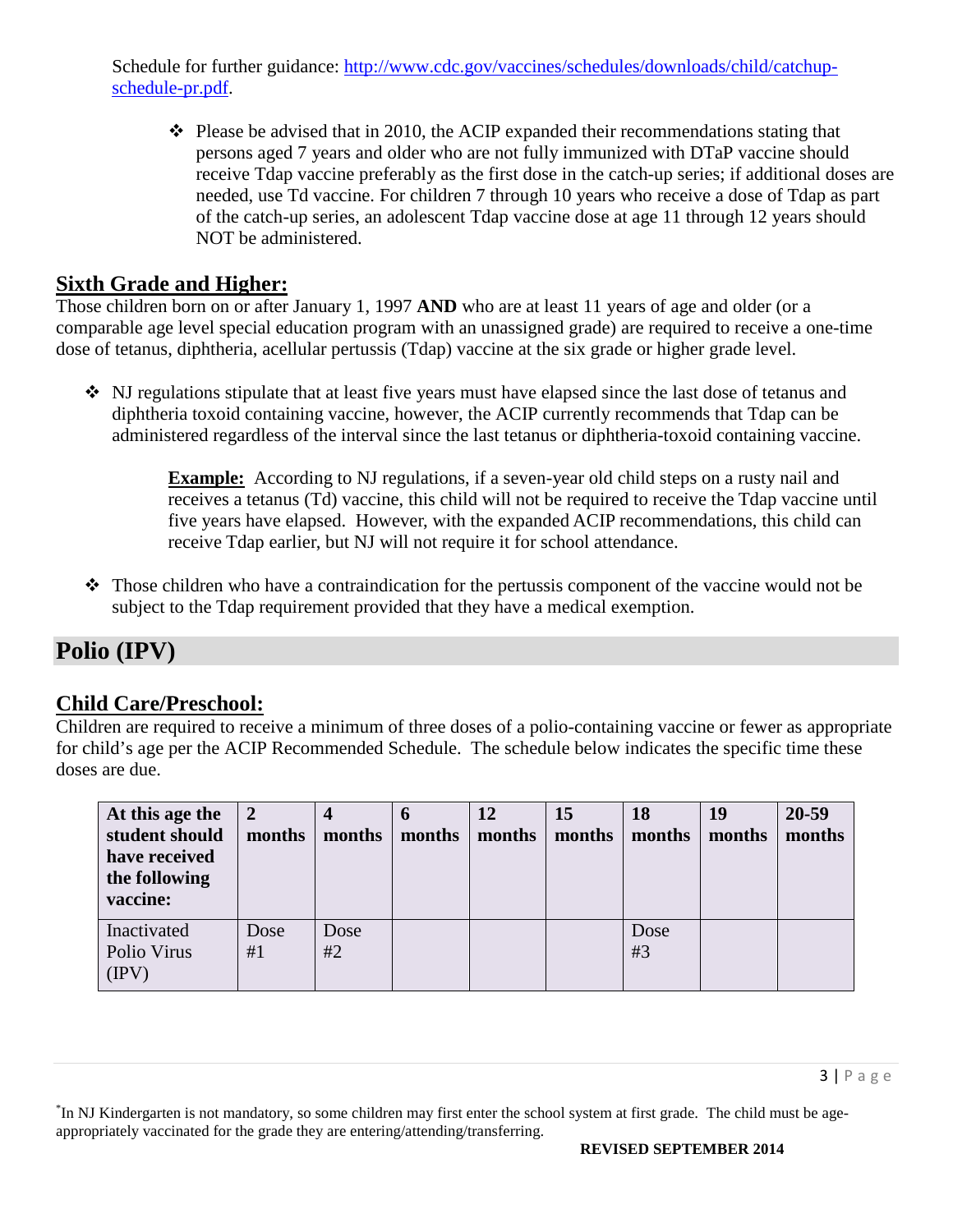Schedule for further guidance: [http://www.cdc.gov/vaccines/schedules/downloads/child/catchup](http://www.cdc.gov/vaccines/schedules/downloads/child/catchup-schedule-pr.pdf)[schedule-pr.pdf.](http://www.cdc.gov/vaccines/schedules/downloads/child/catchup-schedule-pr.pdf)

 $\cdot \cdot$  Please be advised that in 2010, the ACIP expanded their recommendations stating that persons aged 7 years and older who are not fully immunized with DTaP vaccine should receive Tdap vaccine preferably as the first dose in the catch-up series; if additional doses are needed, use Td vaccine. For children 7 through 10 years who receive a dose of Tdap as part of the catch-up series, an adolescent Tdap vaccine dose at age 11 through 12 years should NOT be administered.

## **Sixth Grade and Higher:**

Those children born on or after January 1, 1997 **AND** who are at least 11 years of age and older (or a comparable age level special education program with an unassigned grade) are required to receive a one-time dose of tetanus, diphtheria, acellular pertussis (Tdap) vaccine at the six grade or higher grade level.

 NJ regulations stipulate that at least five years must have elapsed since the last dose of tetanus and diphtheria toxoid containing vaccine, however, the ACIP currently recommends that Tdap can be administered regardless of the interval since the last tetanus or diphtheria-toxoid containing vaccine.

> **Example:** According to NJ regulations, if a seven-year old child steps on a rusty nail and receives a tetanus (Td) vaccine, this child will not be required to receive the Tdap vaccine until five years have elapsed. However, with the expanded ACIP recommendations, this child can receive Tdap earlier, but NJ will not require it for school attendance.

 Those children who have a contraindication for the pertussis component of the vaccine would not be subject to the Tdap requirement provided that they have a medical exemption.

# **Polio (IPV)**

## **Child Care/Preschool:**

Children are required to receive a minimum of three doses of a polio-containing vaccine or fewer as appropriate for child's age per the ACIP Recommended Schedule. The schedule below indicates the specific time these doses are due.

| At this age the<br>student should<br>have received<br>the following<br>vaccine: | $\overline{2}$<br>months | months     | $\bf{0}$<br>months | 12<br>months | 15<br>months | 18<br>months | 19<br>months | 20-59<br>months |
|---------------------------------------------------------------------------------|--------------------------|------------|--------------------|--------------|--------------|--------------|--------------|-----------------|
| Inactivated<br>Polio Virus<br>$(\text{IPV})$                                    | Dose<br>#1               | Dose<br>#2 |                    |              |              | Dose<br>#3   |              |                 |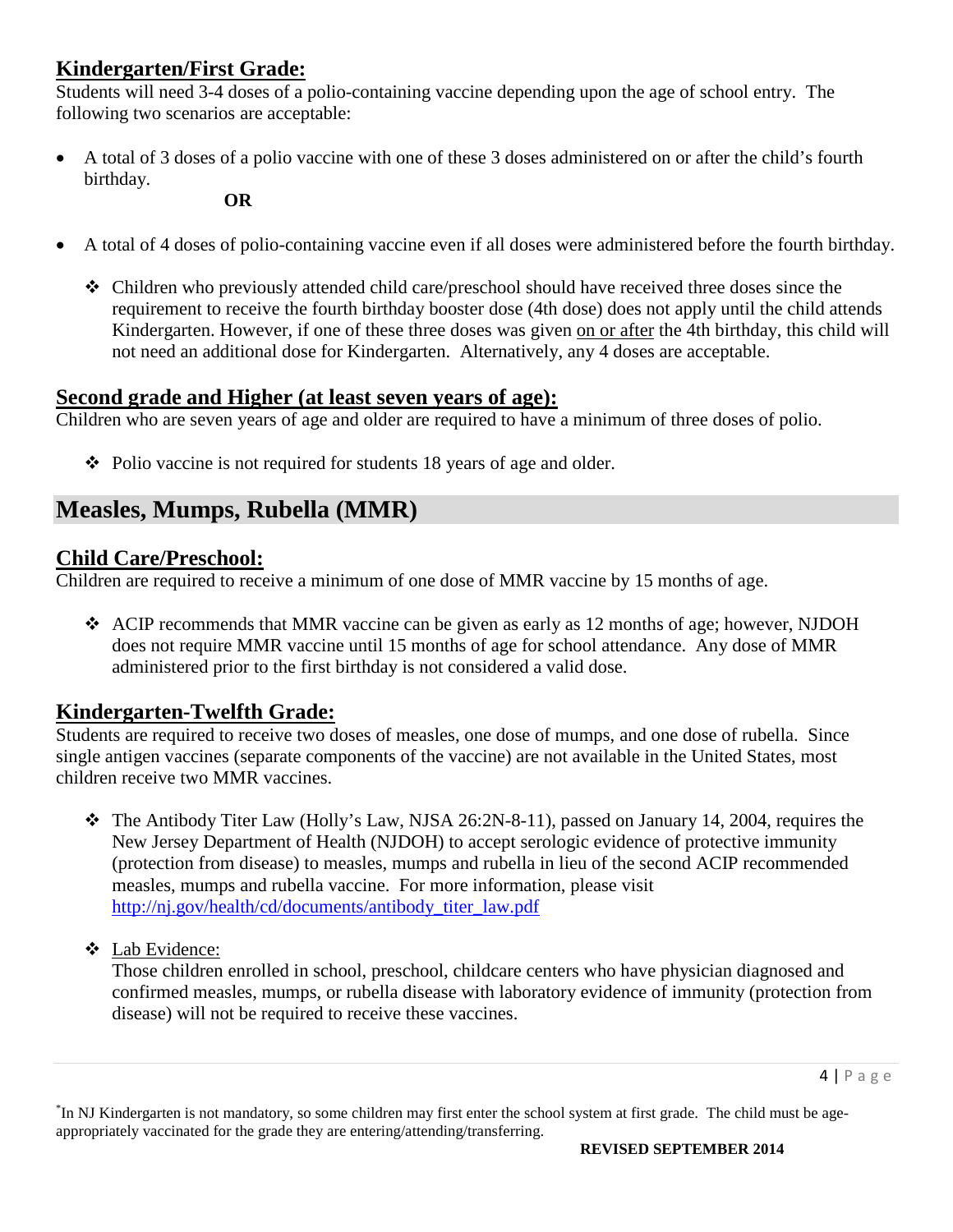## **Kindergarten/First Grade:**

Students will need 3-4 doses of a polio-containing vaccine depending upon the age of school entry. The following two scenarios are acceptable:

• A total of 3 doses of a polio vaccine with one of these 3 doses administered on or after the child's fourth birthday.

**OR**

- A total of 4 doses of polio-containing vaccine even if all doses were administered before the fourth birthday.
	- Children who previously attended child care/preschool should have received three doses since the requirement to receive the fourth birthday booster dose (4th dose) does not apply until the child attends Kindergarten. However, if one of these three doses was given on or after the 4th birthday, this child will not need an additional dose for Kindergarten. Alternatively, any 4 doses are acceptable.

### **Second grade and Higher (at least seven years of age):**

Children who are seven years of age and older are required to have a minimum of three doses of polio.

 $\triangle$  Polio vaccine is not required for students 18 years of age and older.

# **Measles, Mumps, Rubella (MMR)**

## **Child Care/Preschool:**

Children are required to receive a minimum of one dose of MMR vaccine by 15 months of age.

 ACIP recommends that MMR vaccine can be given as early as 12 months of age; however, NJDOH does not require MMR vaccine until 15 months of age for school attendance. Any dose of MMR administered prior to the first birthday is not considered a valid dose.

## **Kindergarten-Twelfth Grade:**

Students are required to receive two doses of measles, one dose of mumps, and one dose of rubella. Since single antigen vaccines (separate components of the vaccine) are not available in the United States, most children receive two MMR vaccines.

- The Antibody Titer Law (Holly's Law, NJSA 26:2N-8-11), passed on January 14, 2004, requires the New Jersey Department of Health (NJDOH) to accept serologic evidence of protective immunity (protection from disease) to measles, mumps and rubella in lieu of the second ACIP recommended measles, mumps and rubella vaccine. For more information, please visit [http://nj.gov/health/cd/documents/antibody\\_titer\\_law.pdf](http://nj.gov/health/cd/documents/antibody_titer_law.pdf)
- Lab Evidence:

Those children enrolled in school, preschool, childcare centers who have physician diagnosed and confirmed measles, mumps, or rubella disease with laboratory evidence of immunity (protection from disease) will not be required to receive these vaccines.

<sup>\*</sup> In NJ Kindergarten is not mandatory, so some children may first enter the school system at first grade. The child must be ageappropriately vaccinated for the grade they are entering/attending/transferring.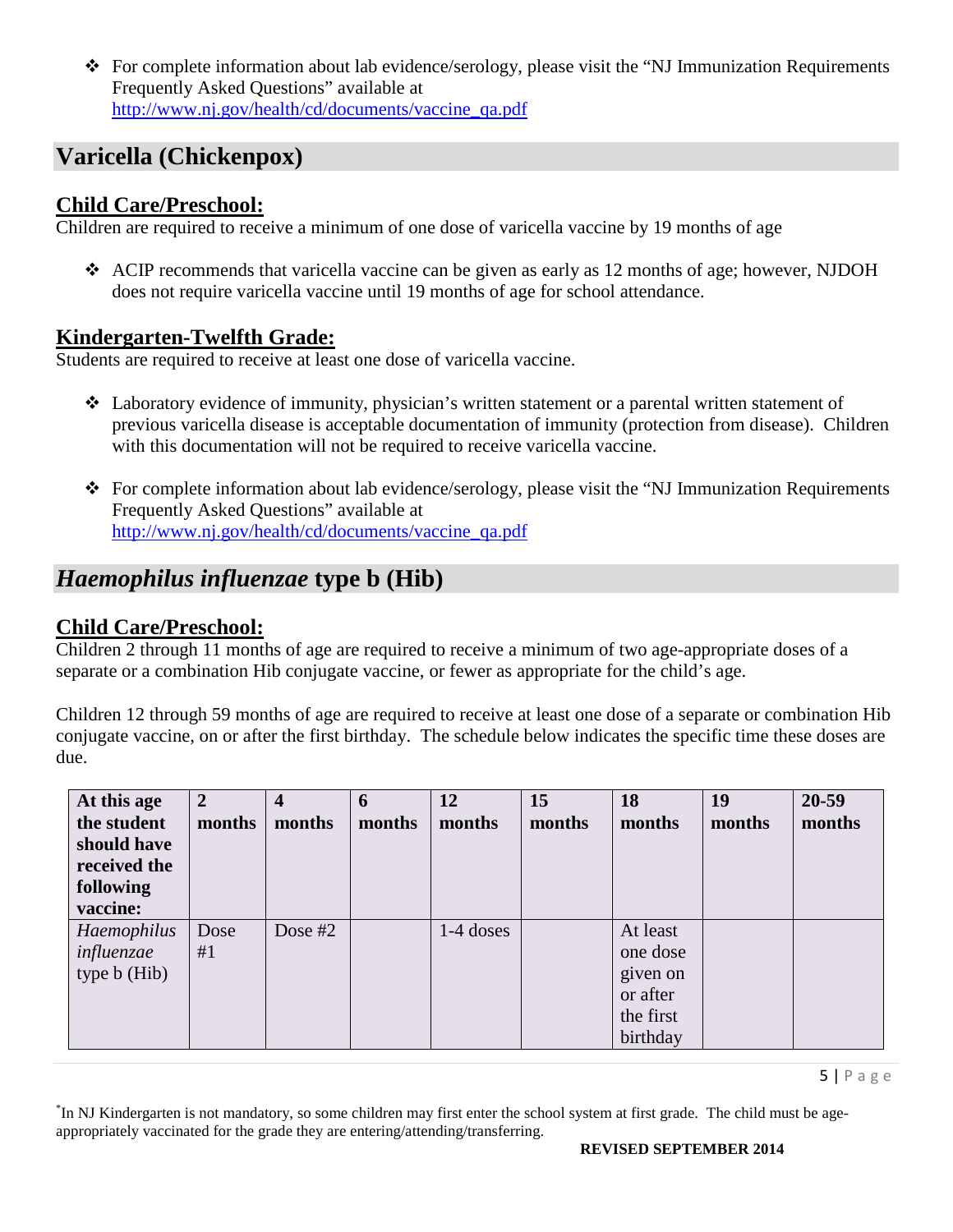For complete information about lab evidence/serology, please visit the "NJ Immunization Requirements Frequently Asked Questions" available at [http://www.nj.gov/health/cd/documents/vaccine\\_qa.pdf](http://www.nj.gov/health/cd/documents/vaccine_qa.pdf)

# **Varicella (Chickenpox)**

### **Child Care/Preschool:**

Children are required to receive a minimum of one dose of varicella vaccine by 19 months of age

 ACIP recommends that varicella vaccine can be given as early as 12 months of age; however, NJDOH does not require varicella vaccine until 19 months of age for school attendance.

## **Kindergarten-Twelfth Grade:**

Students are required to receive at least one dose of varicella vaccine.

- Laboratory evidence of immunity, physician's written statement or a parental written statement of previous varicella disease is acceptable documentation of immunity (protection from disease). Children with this documentation will not be required to receive varicella vaccine.
- For complete information about lab evidence/serology, please visit the "NJ Immunization Requirements Frequently Asked Questions" available at [http://www.nj.gov/health/cd/documents/vaccine\\_qa.pdf](http://www.nj.gov/health/cd/documents/vaccine_qa.pdf)

# *Haemophilus influenzae* **type b (Hib)**

## **Child Care/Preschool:**

Children 2 through 11 months of age are required to receive a minimum of two age-appropriate doses of a separate or a combination Hib conjugate vaccine, or fewer as appropriate for the child's age.

Children 12 through 59 months of age are required to receive at least one dose of a separate or combination Hib conjugate vaccine, on or after the first birthday. The schedule below indicates the specific time these doses are due.

| At this age<br>the student<br>should have<br>received the<br>following<br>vaccine: | $\overline{2}$<br>months | 4<br>months | 6<br>months | 12<br>months | 15<br>months | 18<br>months                                                          | 19<br>months | 20-59<br>months |
|------------------------------------------------------------------------------------|--------------------------|-------------|-------------|--------------|--------------|-----------------------------------------------------------------------|--------------|-----------------|
| Haemophilus<br>influenzae<br>type b (Hib)                                          | Dose<br>#1               | Dose $#2$   |             | $1-4$ doses  |              | At least<br>one dose<br>given on<br>or after<br>the first<br>birthday |              |                 |

 $5$ | Page

\* In NJ Kindergarten is not mandatory, so some children may first enter the school system at first grade. The child must be ageappropriately vaccinated for the grade they are entering/attending/transferring.

#### **REVISED SEPTEMBER 2014**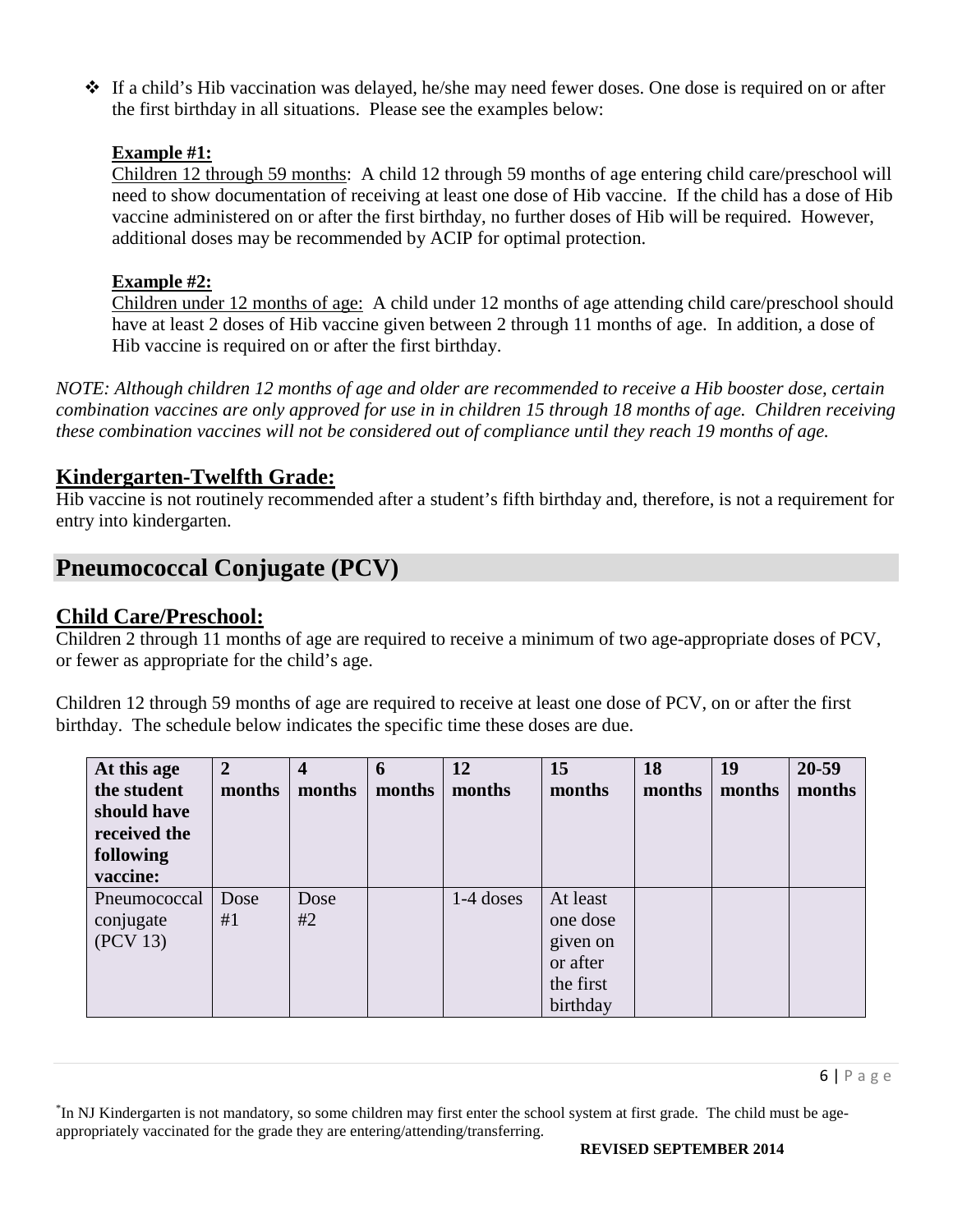$\div$  If a child's Hib vaccination was delayed, he/she may need fewer doses. One dose is required on or after the first birthday in all situations. Please see the examples below:

### **Example #1:**

Children 12 through 59 months: A child 12 through 59 months of age entering child care/preschool will need to show documentation of receiving at least one dose of Hib vaccine. If the child has a dose of Hib vaccine administered on or after the first birthday, no further doses of Hib will be required. However, additional doses may be recommended by ACIP for optimal protection.

### **Example #2:**

Children under 12 months of age: A child under 12 months of age attending child care/preschool should have at least 2 doses of Hib vaccine given between 2 through 11 months of age. In addition, a dose of Hib vaccine is required on or after the first birthday.

*NOTE: Although children 12 months of age and older are recommended to receive a Hib booster dose, certain combination vaccines are only approved for use in in children 15 through 18 months of age. Children receiving these combination vaccines will not be considered out of compliance until they reach 19 months of age.* 

## **Kindergarten-Twelfth Grade:**

Hib vaccine is not routinely recommended after a student's fifth birthday and, therefore, is not a requirement for entry into kindergarten.

# **Pneumococcal Conjugate (PCV)**

### **Child Care/Preschool:**

Children 2 through 11 months of age are required to receive a minimum of two age-appropriate doses of PCV, or fewer as appropriate for the child's age.

Children 12 through 59 months of age are required to receive at least one dose of PCV, on or after the first birthday. The schedule below indicates the specific time these doses are due.

| At this age<br>the student<br>should have<br>received the<br>following<br>vaccine: | 2<br>months | 4<br>months | 6<br>months | 12<br>months | 15<br>months                                                          | 18<br>months | 19<br>months | 20-59<br>months |
|------------------------------------------------------------------------------------|-------------|-------------|-------------|--------------|-----------------------------------------------------------------------|--------------|--------------|-----------------|
| Pneumococcal<br>conjugate<br>(PCV 13)                                              | Dose<br>#1  | Dose<br>#2  |             | $1-4$ doses  | At least<br>one dose<br>given on<br>or after<br>the first<br>birthday |              |              |                 |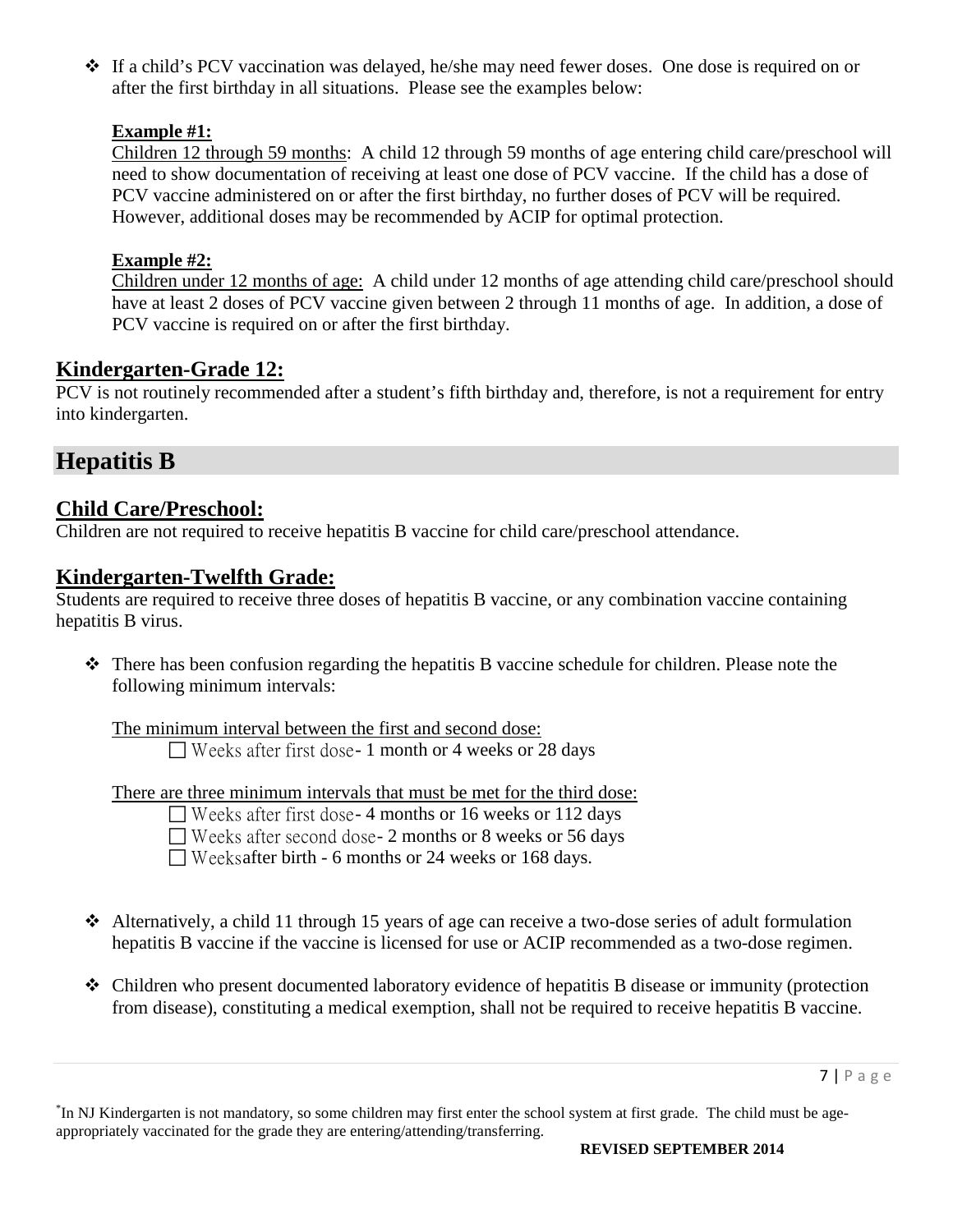If a child's PCV vaccination was delayed, he/she may need fewer doses. One dose is required on or after the first birthday in all situations. Please see the examples below:

### **Example #1:**

Children 12 through 59 months: A child 12 through 59 months of age entering child care/preschool will need to show documentation of receiving at least one dose of PCV vaccine. If the child has a dose of PCV vaccine administered on or after the first birthday, no further doses of PCV will be required. However, additional doses may be recommended by ACIP for optimal protection.

### **Example #2:**

Children under 12 months of age: A child under 12 months of age attending child care/preschool should have at least 2 doses of PCV vaccine given between 2 through 11 months of age. In addition, a dose of PCV vaccine is required on or after the first birthday.

### **Kindergarten-Grade 12:**

PCV is not routinely recommended after a student's fifth birthday and, therefore, is not a requirement for entry into kindergarten.

## **Hepatitis B**

### **Child Care/Preschool:**

Children are not required to receive hepatitis B vaccine for child care/preschool attendance.

### **Kindergarten-Twelfth Grade:**

Students are required to receive three doses of hepatitis B vaccine, or any combination vaccine containing hepatitis B virus.

 There has been confusion regarding the hepatitis B vaccine schedule for children. Please note the following minimum intervals:

The minimum interval between the first and second dose:  $\Box$  Weeks after first dose-1 month or 4 weeks or 28 days

There are three minimum intervals that must be met for the third dose:

| $\Box$ Weeks after first dose-4 months or 16 weeks or 112 days |
|----------------------------------------------------------------|
| $\Box$ Weeks after second dose- 2 months or 8 weeks or 56 days |
| $\Box$ Weeks after birth - 6 months or 24 weeks or 168 days.   |

- Alternatively, a child 11 through 15 years of age can receive a two-dose series of adult formulation hepatitis B vaccine if the vaccine is licensed for use or ACIP recommended as a two-dose regimen.
- Children who present documented laboratory evidence of hepatitis B disease or immunity (protection from disease), constituting a medical exemption, shall not be required to receive hepatitis B vaccine.

<sup>\*</sup> In NJ Kindergarten is not mandatory, so some children may first enter the school system at first grade. The child must be ageappropriately vaccinated for the grade they are entering/attending/transferring.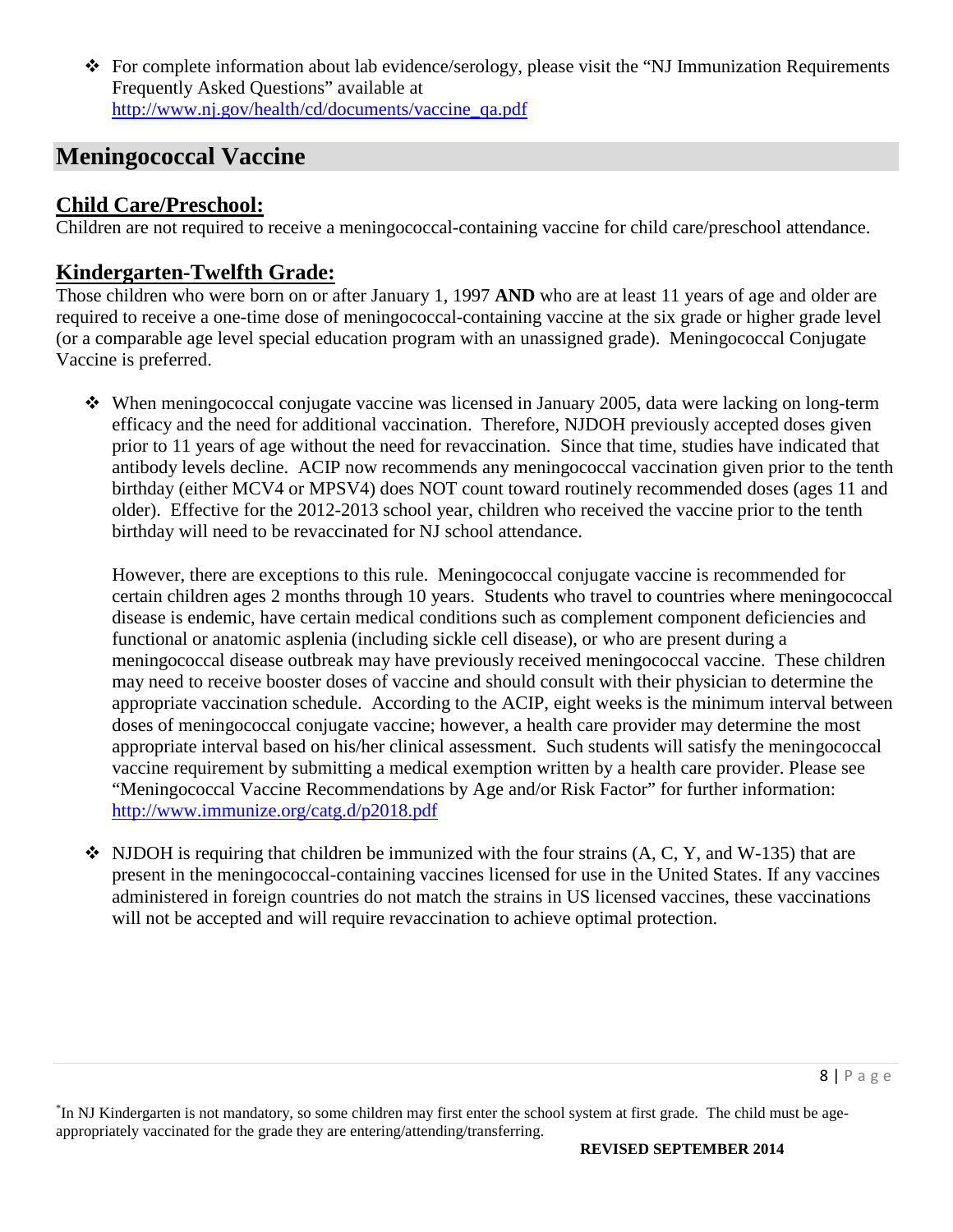For complete information about lab evidence/serology, please visit the "NJ Immunization Requirements Frequently Asked Questions" available at [http://www.nj.gov/health/cd/documents/vaccine\\_qa.pdf](http://www.nj.gov/health/cd/documents/vaccine_qa.pdf)

# **Meningococcal Vaccine**

### **Child Care/Preschool:**

Children are not required to receive a meningococcal-containing vaccine for child care/preschool attendance.

## **Kindergarten-Twelfth Grade:**

Those children who were born on or after January 1, 1997 **AND** who are at least 11 years of age and older are required to receive a one-time dose of meningococcal-containing vaccine at the six grade or higher grade level (or a comparable age level special education program with an unassigned grade). Meningococcal Conjugate Vaccine is preferred.

 When meningococcal conjugate vaccine was licensed in January 2005, data were lacking on long-term efficacy and the need for additional vaccination. Therefore, NJDOH previously accepted doses given prior to 11 years of age without the need for revaccination. Since that time, studies have indicated that antibody levels decline. ACIP now recommends any meningococcal vaccination given prior to the tenth birthday (either MCV4 or MPSV4) does NOT count toward routinely recommended doses (ages 11 and older). Effective for the 2012-2013 school year, children who received the vaccine prior to the tenth birthday will need to be revaccinated for NJ school attendance.

However, there are exceptions to this rule. Meningococcal conjugate vaccine is recommended for certain children ages 2 months through 10 years. Students who travel to countries where meningococcal disease is endemic, have certain medical conditions such as complement component deficiencies and functional or anatomic asplenia (including sickle cell disease), or who are present during a meningococcal disease outbreak may have previously received meningococcal vaccine. These children may need to receive booster doses of vaccine and should consult with their physician to determine the appropriate vaccination schedule. According to the ACIP, eight weeks is the minimum interval between doses of meningococcal conjugate vaccine; however, a health care provider may determine the most appropriate interval based on his/her clinical assessment. Such students will satisfy the meningococcal vaccine requirement by submitting a medical exemption written by a health care provider. Please see "Meningococcal Vaccine Recommendations by Age and/or Risk Factor" for further information: <http://www.immunize.org/catg.d/p2018.pdf>

 $\bullet$  NJDOH is requiring that children be immunized with the four strains (A, C, Y, and W-135) that are present in the meningococcal-containing vaccines licensed for use in the United States. If any vaccines administered in foreign countries do not match the strains in US licensed vaccines, these vaccinations will not be accepted and will require revaccination to achieve optimal protection.